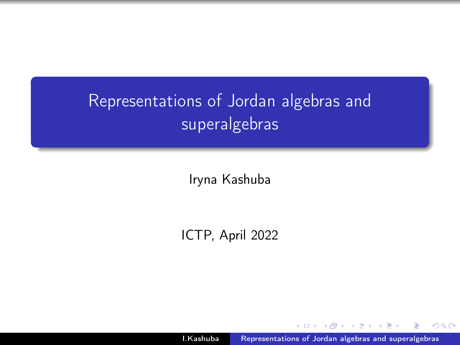# <span id="page-0-0"></span>Representations of Jordan algebras and superalgebras

Iryna Kashuba

ICTP, April 2022

I.Kashuba [Representations of Jordan algebras and superalgebras](#page-27-0)

 $QQ$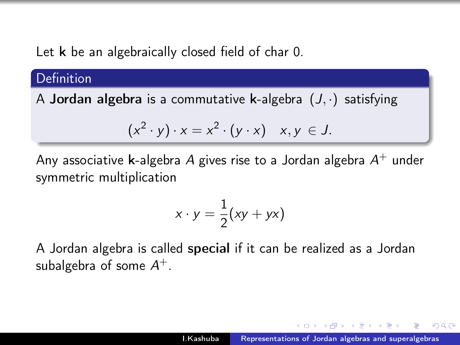Let **k** be an algebraically closed field of char 0.

**Definition** 

A **Jordan algebra** is a commutative **k**-algebra  $(J, \cdot)$  satisfying

$$
(x2 \cdot y) \cdot x = x2 \cdot (y \cdot x) \quad x, y \in J.
$$

Any associative **k**-algebra A gives rise to a Jordan algebra  $A^+$  under symmetric multiplication

$$
x \cdot y = \frac{1}{2}(xy + yx)
$$

A Jordan algebra is called special if it can be realized as a Jordan subalgebra of some  $\mathcal{A}^+$ .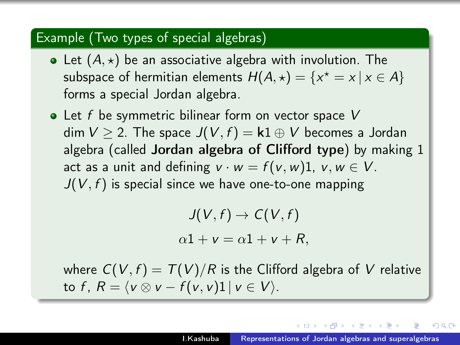#### Example (Two types of special algebras)

- Let  $(A, \star)$  be an associative algebra with involution. The subspace of hermitian elements  $H(A,\star)=\{x^\star=x\,|\,x\in A\}$ forms a special Jordan algebra.
- $\bullet$  Let f be symmetric bilinear form on vector space V dim  $V \geq 2$ . The space  $J(V, f) = k1 \oplus V$  becomes a Jordan algebra (called Jordan algebra of Clifford type) by making 1 act as a unit and defining  $v \cdot w = f(v, w)1$ ,  $v, w \in V$ .  $J(V, f)$  is special since we have one-to-one mapping

$$
J(V, f) \to C(V, f)
$$

$$
\alpha 1 + v = \alpha 1 + v + R,
$$

where  $C(V, f) = T(V)/R$  is the Clifford algebra of V relative to f,  $R = \langle v \otimes v - f(v, v)1 | v \in V \rangle$ .

 $\mathcal{A}$  and  $\mathcal{A}$  in the set of  $\mathbb{R}^n$  is a set of  $\mathbb{R}^n$  is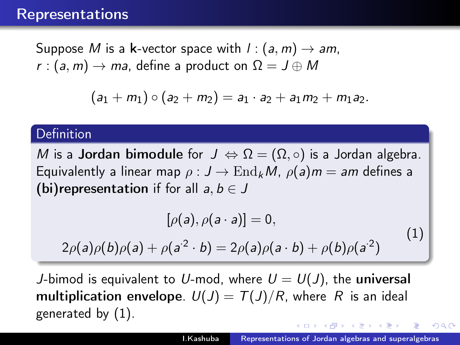### Representations

Suppose M is a k-vector space with  $l : (a, m) \rightarrow am$ , r :  $(a, m) \rightarrow ma$ , define a product on  $\Omega = J \oplus M$ 

$$
(a_1+m_1)\circ(a_2+m_2)=a_1\cdot a_2+a_1m_2+m_1a_2.
$$

### **Definition**

M is a **Jordan bimodule** for  $J \Leftrightarrow \Omega = (\Omega, \circ)$  is a Jordan algebra. Equivalently a linear map  $\rho: J \to \text{End}_k M$ ,  $\rho(a) m = am$  defines a (bi)representation if for all  $a, b \in J$ 

<span id="page-3-0"></span>
$$
[\rho(a), \rho(a \cdot a)] = 0,
$$
  
2\rho(a)\rho(b)\rho(a) + \rho(a^2 \cdot b) = 2\rho(a)\rho(a \cdot b) + \rho(b)\rho(a^2) (1)

J-bimod is equivalent to U-mod, where  $U = U(J)$ , the universal multiplication envelope.  $U(J) = T(J)/R$ , where R is an ideal generated by [\(1\)](#page-3-0).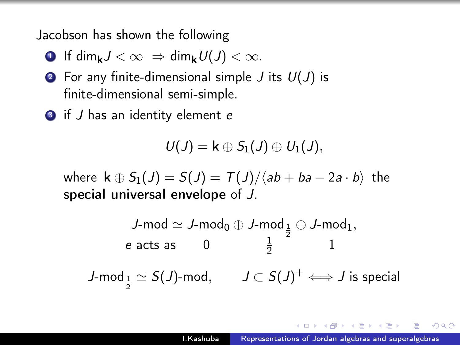Jacobson has shown the following

- **1** If dim<sub>k</sub> $J < \infty$   $\Rightarrow$  dim<sub>k</sub> $U(J) < \infty$ .
- **2** For any finite-dimensional simple  $J$  its  $U(J)$  is finite-dimensional semi-simple.
- **3** if *J* has an identity element *e*

$$
U(J)=\mathsf{k}\oplus S_1(J)\oplus U_1(J),
$$

where  $\mathbf{k} \oplus S_1(\mathbf{J}) = S(\mathbf{J}) = T(\mathbf{J})/\langle ab + ba - 2a \cdot b \rangle$  the special universal envelope of J.

$$
\begin{array}{ccc}J\text{-mod}\simeq J\text{-mod}_0\oplus J\text{-mod}_{\frac{1}{2}}\oplus J\text{-mod}_1,\\ \text{$e$ acts as} & 0 & \frac{1}{2} & 1\\ J\text{-mod}_{\frac{1}{2}}\simeq S(J)\text{-mod}, & J\subset S(J)^+\Longleftrightarrow J\text{ is special}\end{array}
$$

*向* ▶ ( ヨ ) ( ヨ )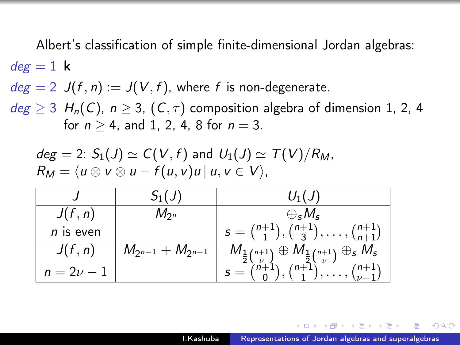Albert's classification of simple finite-dimensional Jordan algebras:  $deg = 1$  k

 $deg = 2$   $J(f, n) := J(V, f)$ , where f is non-degenerate.

 $deg \geq 3$  H<sub>n</sub>(C),  $n \geq 3$ , (C,  $\tau$ ) composition algebra of dimension 1, 2, 4 for  $n > 4$ , and 1, 2, 4, 8 for  $n = 3$ .

$$
deg = 2: S_1(J) \simeq C(V, f) \text{ and } U_1(J) \simeq T(V)/R_M,
$$
  
\n
$$
R_M = \langle u \otimes v \otimes u - f(u, v)u \, | \, u, v \in V \rangle,
$$

|                | $S_1(J)$                  | $U_1(J)$                                                                                                                                                         |
|----------------|---------------------------|------------------------------------------------------------------------------------------------------------------------------------------------------------------|
| J(f, n)        | $M_{2^n}$                 | $\bigoplus_{S} M_S$                                                                                                                                              |
| $n$ is even    |                           | $s = \binom{n+1}{1}, \binom{n+1}{3}, \ldots, \binom{n+1}{n+1}$                                                                                                   |
| J(f, n)        | $M_{2^{n-1}}+M_{2^{n-1}}$ |                                                                                                                                                                  |
| $n = 2\nu - 1$ |                           | $M_{\frac{1}{2} {n+1 \choose \nu}} \oplus M_{\frac{1}{2} {n+1 \choose \nu}} \oplus s M_s$<br>$s = {n+1 \choose 0}, {n+1 \choose 1}, \ldots, {n+1 \choose \nu-1}$ |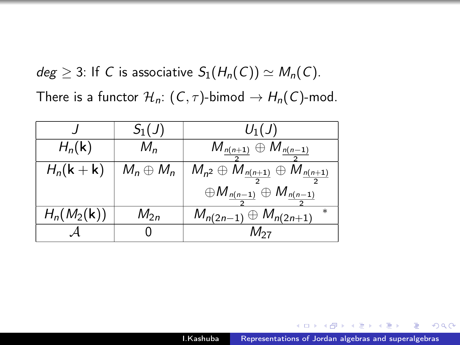$deg \geq 3$ : If C is associative  $S_1(H_n(C)) \simeq M_n(C)$ . There is a functor  $\mathcal{H}_n$ :  $(C, \tau)$ -bimod  $\rightarrow H_n(C)$ -mod.

|                                | $S_1(J)$         | $U_1(J)$                                                        |
|--------------------------------|------------------|-----------------------------------------------------------------|
| $H_n(\mathbf{k})$              | $M_n$            | $M_{n(n+1)} \oplus M_{n(n-1)}$                                  |
| $H_n(\mathsf{k} + \mathsf{k})$ | $M_n \oplus M_n$ | $M_{n^2}\oplus M_{\frac{n(n+1)}{2}}\oplus M_{\frac{n(n+1)}{2}}$ |
|                                |                  | $\oplus M_{\underline{n(n-1)}} \oplus M_{\underline{n(n-1)}}$   |
| $H_n(M_2(\mathbf{k}))$         | $M_{2n}$         | $M_{n(2n-1)} \oplus M_{n(2n+1)}$                                |
|                                |                  | $M_{27}$                                                        |

伊 ▶ (三 )

→ 三  $\sim$ 性  $QQ$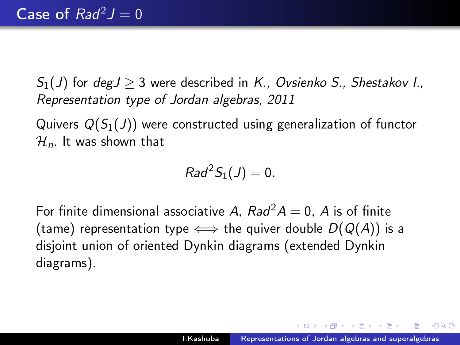$S_1(J)$  for deg $J > 3$  were described in K., Ovsienko S., Shestakov I., Representation type of Jordan algebras, 2011

Quivers  $Q(S_1(J))$  were constructed using generalization of functor  $\mathcal{H}_n$ . It was shown that

$$
Rad^2S_1(J)=0.
$$

For finite dimensional associative A,  $Rad^2A = 0$ , A is of finite (tame) representation type  $\Longleftrightarrow$  the quiver double  $D(Q(A))$  is a disjoint union of oriented Dynkin diagrams (extended Dynkin diagrams).

A & Y B & Y B & T

 $\Omega$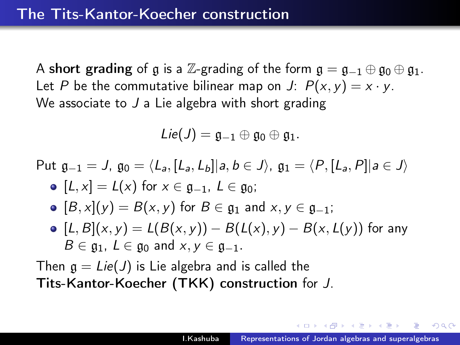A short grading of g is a Z-grading of the form  $\mathfrak{g} = \mathfrak{g}_{-1} \oplus \mathfrak{g}_0 \oplus \mathfrak{g}_1$ . Let P be the commutative bilinear map on J:  $P(x, y) = x \cdot y$ . We associate to  $J$  a Lie algebra with short grading

$$
Lie(J)=\mathfrak{g}_{-1}\oplus \mathfrak{g}_0\oplus \mathfrak{g}_1.
$$

Put 
$$
\mathfrak{g}_{-1} = J
$$
,  $\mathfrak{g}_0 = \langle L_a, [L_a, L_b] | a, b \in J \rangle$ ,  $\mathfrak{g}_1 = \langle P, [L_a, P] | a \in J \rangle$   $\bullet$   $[L, x] = L(x)$  for  $x \in \mathfrak{g}_{-1}$ ,  $L \in \mathfrak{g}_0$ ;

• 
$$
[B, x](y) = B(x, y)
$$
 for  $B \in \mathfrak{g}_1$  and  $x, y \in \mathfrak{g}_{-1}$ ;

•  $[L, B](x, y) = L(B(x, y)) - B(L(x), y) - B(x, L(y))$  for any  $B \in \mathfrak{g}_1$ ,  $L \in \mathfrak{g}_0$  and  $x, y \in \mathfrak{g}_{-1}$ .

Then  $g = Lie(J)$  is Lie algebra and is called the Tits-Kantor-Koecher (TKK) construction for J.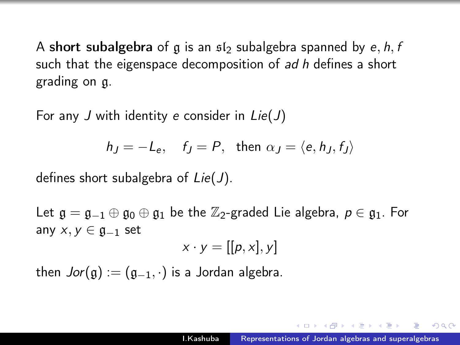A short subalgebra of g is an  $\mathfrak{sl}_2$  subalgebra spanned by e, h, f such that the eigenspace decomposition of *ad h* defines a short grading on g.

For any J with identity e consider in  $Lie(J)$ 

$$
h_J = -L_e
$$
,  $f_J = P$ , then  $\alpha_J = \langle e, h_J, f_J \rangle$ 

defines short subalgebra of  $Lie(J)$ .

Let  $\mathfrak{g} = \mathfrak{g}_{-1} \oplus \mathfrak{g}_0 \oplus \mathfrak{g}_1$  be the  $\mathbb{Z}_2$ -graded Lie algebra,  $p \in \mathfrak{g}_1$ . For any  $x, y \in \mathfrak{g}_{-1}$  set

$$
x \cdot y = [[p, x], y]
$$

then  $Jor(g) := (g_{-1}, \cdot)$  is a Jordan algebra.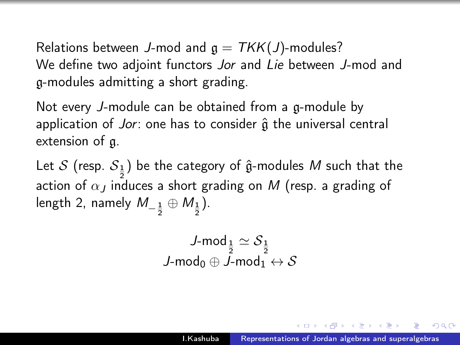Relations between J-mod and  $g = TKK(J)$ -modules? We define two adjoint functors Jor and Lie between J-mod and g-modules admitting a short grading.

Not every J-module can be obtained from a g-module by application of Jor: one has to consider  $\hat{a}$  the universal central extension of g.

Let  $\mathcal S$  (resp.  $\mathcal S_{\rm \underline 1}$ ) be the category of  $\hat{\mathfrak g}$ -modules  $M$  such that the action of  $\alpha_J$  induces a short grading on  $M$  (resp. a grading of length 2, namely  $M_{-\frac{1}{2}}\oplus M_{\frac{1}{2}}).$ 

$$
\begin{array}{c}J\text{-mod}_{\frac{1}{2}}\simeq{\mathcal S}_{\frac{1}{2}}\\J\text{-mod}_0\oplus J\text{-mod}_1\leftrightarrow{\mathcal S}\end{array}
$$

 $\Omega$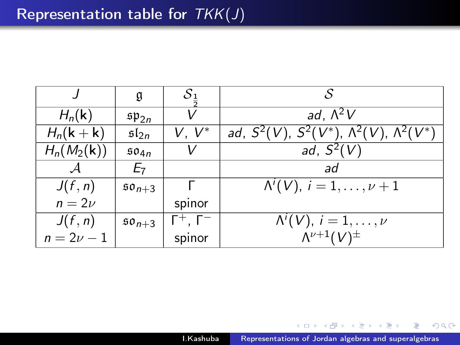|                                | g                    | S <sub>1</sub>          | S                                                                           |
|--------------------------------|----------------------|-------------------------|-----------------------------------------------------------------------------|
| $H_n(\mathbf{k})$              | $\mathfrak{sp}_{2n}$ |                         | ad, $\Lambda^2 V$                                                           |
| $H_n(\mathsf{k} + \mathsf{k})$ | $\mathfrak{sl}_{2n}$ | V. V*                   | ad, $S^2(V)$ , $S^2(V^*)$ , $\Lambda^2(V)$ , $\Lambda^2(V^*)$               |
| $H_n(M_2(\mathbf{k}))$         | 504n                 | V                       | ad, $S^2(V)$                                                                |
|                                | E <sub>7</sub>       |                         | ad                                                                          |
| J(f, n)                        | $50_{n+3}$           |                         | $\Lambda^{i}(V), i = 1, \ldots, \nu + 1$                                    |
| $n=2\nu$                       |                      | spinor                  |                                                                             |
| J(f, n)                        | $50n+3$              | $\Gamma^+$ , $\Gamma^-$ | $\overline{\Lambda}^i(V), i = 1, \ldots, \nu$<br>$\Lambda^{\nu+1}(V)^{\pm}$ |
| $n = 2\nu - 1$                 |                      | spinor                  |                                                                             |

闹 **IN** 化重新化 B

×.

 $299$ 

∍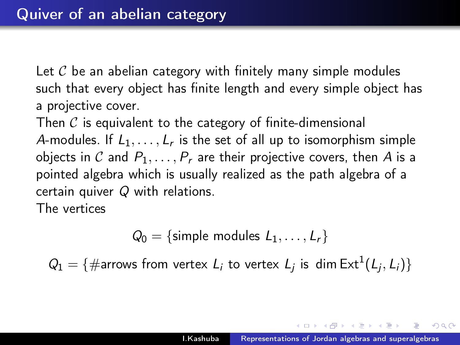Let  $\mathcal C$  be an abelian category with finitely many simple modules such that every object has finite length and every simple object has a projective cover.

Then  $\mathcal C$  is equivalent to the category of finite-dimensional A-modules. If  $L_1, \ldots, L_r$  is the set of all up to isomorphism simple objects in C and  $P_1, \ldots, P_r$  are their projective covers, then A is a pointed algebra which is usually realized as the path algebra of a certain quiver Q with relations.

The vertices

$$
Q_0 = \{ \text{simple modules } L_1, \ldots, L_r \}
$$

 $Q_1 = \{ \text{#arrows from vertex } L_i \text{ to vertex } L_j \text{ is } \dim \text{Ext}^1(L_j, L_i) \}$ 

ス 何 ト ス ヨ ト ス ヨ トー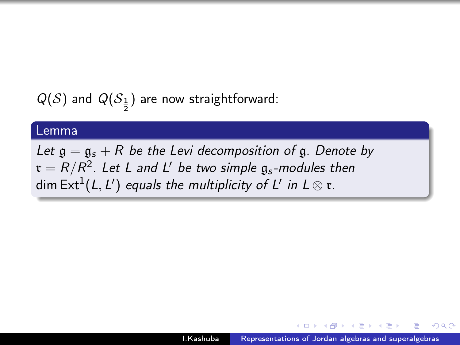$Q(\mathcal{S})$  and  $Q(\mathcal{S}_{\frac{1}{2}})$  are now straightforward:

#### Lemma

Let  $\mathfrak{g} = \mathfrak{g}_s + R$  be the Levi decomposition of  $\mathfrak{g}$ . Denote by  $\mathfrak{r}=R/R^2$ . Let L and L' be two simple  $\mathfrak{g}_s$ -modules then dim Ext $^{1}($ L, L') equals the multiplicity of L' in L  $\otimes$   $\mathfrak{r}.$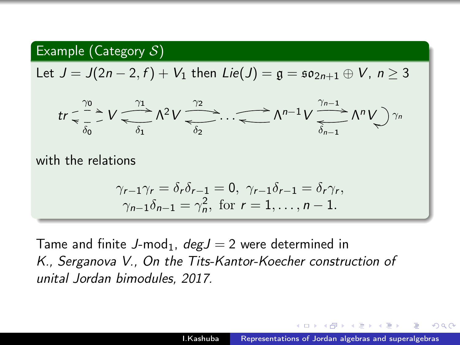## Example (Category  $S$ )

Let  $J = J(2n - 2, f) + V_1$  then  $Lie(J) = g = so_{2n+1} \oplus V, n \ge 3$ 

$$
tr \leq \frac{\gamma_0}{\delta_0} \geq V \frac{\gamma_1}{\delta_1} \Lambda^2 V \frac{\gamma_2}{\delta_2} \cdots \frac{\gamma_{n-1}}{\delta_{n-1}} \Lambda^{n-1} V \frac{\gamma_{n-1}}{\delta_{n-1}} \Lambda^n V \gamma_n
$$

with the relations

$$
\gamma_{r-1}\gamma_r = \delta_r \delta_{r-1} = 0, \ \gamma_{r-1}\delta_{r-1} = \delta_r \gamma_r,
$$
  

$$
\gamma_{n-1}\delta_{n-1} = \gamma_n^2, \text{ for } r = 1, \dots, n-1.
$$

Tame and finite J-mod<sub>1</sub>,  $deg J = 2$  were determined in K., Serganova V., On the Tits-Kantor-Koecher construction of unital Jordan bimodules, 2017.

 $\mathcal{A}$  and  $\mathcal{A}$  in the set of  $\mathbb{R}^n$  is a set of  $\mathbb{R}^n$  is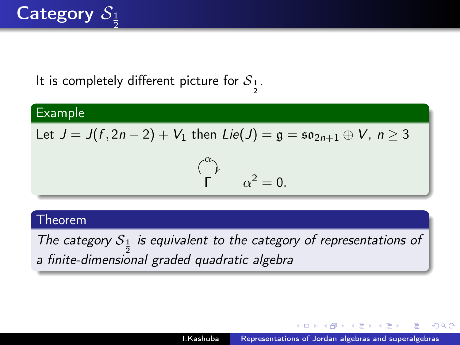#### Category  $\mathcal{S}_{\frac{1}{2}}$ 2

# It is completely different picture for  $\mathcal{S}_{\frac{1}{2}}$ .

#### Example

Let 
$$
J = J(f, 2n - 2) + V_1
$$
 then  $Lie(J) = g = so_{2n+1} \oplus V$ ,  $n \ge 3$ 

$$
\begin{pmatrix} \alpha \\ \Gamma \end{pmatrix} \qquad \alpha^2 = 0.
$$

#### Theorem

The category  $S_{\frac{1}{2}}$  is equivalent to the category of representations of a finite-dimensional graded quadratic algebra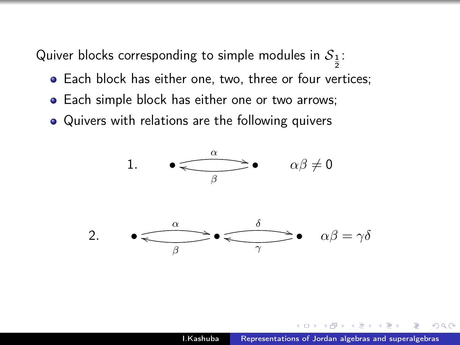Quiver blocks corresponding to simple modules in  $\mathcal{S}_{\frac{1}{2}}$ :

- **Each block has either one, two, three or four vertices;**
- Each simple block has either one or two arrows;
- Quivers with relations are the following quivers

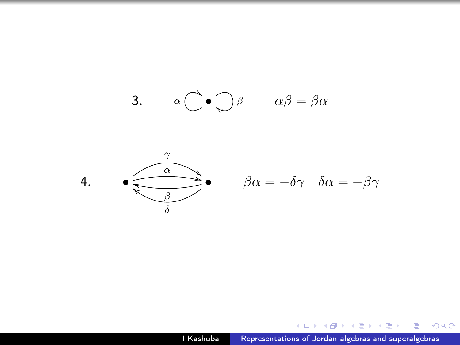



$$
\beta \alpha = -\delta \gamma \quad \delta \alpha = -\beta \gamma
$$

I.Kashuba [Representations of Jordan algebras and superalgebras](#page-0-0)

K ロ ▶ K @ ▶ K 할 ▶ K 할 ▶ 이 할 → 9 Q @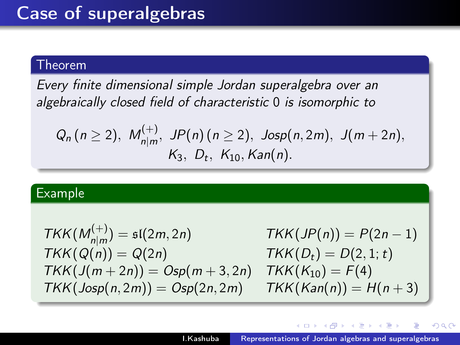#### Theorem

Every finite dimensional simple Jordan superalgebra over an algebraically closed field of characteristic 0 is isomorphic to

$$
Q_n (n \ge 2), M_{n|m}^{(+)}, JP(n) (n \ge 2), Josp(n,2m), J(m+2n),
$$
  
 $K_3, D_t, K_{10}, Kan(n).$ 

### Example

$$
TKK(M_{n|m}^{(+)}) = \mathfrak{sl}(2m, 2n)
$$
  
\n
$$
TKK(Q(n)) = Q(2n)
$$
  
\n
$$
TKK(D_t) = D(2, 1; t)
$$
  
\n
$$
TKK(J(m + 2n)) = Osp(m + 3, 2n)
$$
  
\n
$$
TKK(K_{10}) = F(4)
$$
  
\n
$$
TKK(Isop(n, 2m)) = Osp(2n, 2m)
$$
  
\n
$$
TKK(K_{20}) = H(n + 3)
$$

A + + 2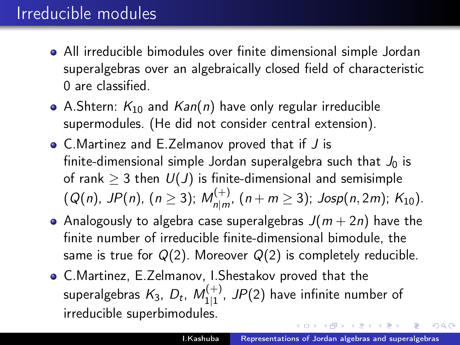## Irreducible modules

- All irreducible bimodules over finite dimensional simple Jordan superalgebras over an algebraically closed field of characteristic 0 are classified.
- A.Shtern:  $K_{10}$  and  $Kan(n)$  have only regular irreducible supermodules. (He did not consider central extension).
- C.Martinez and E.Zelmanov proved that if J is finite-dimensional simple Jordan superalgebra such that  $J_0$  is of rank  $\geq 3$  then  $U(J)$  is finite-dimensional and semisimple  $(Q(n), \text{ JP}(n), (n \geq 3); M_{\text{plm}}^{(+)}$  $\sum_{n|m'}^{(n+1)}$   $(n+m\geq 3)$ ; Josp $(n,2m)$ ;  $K_{10}$ ).
- Analogously to algebra case superalgebras  $J(m + 2n)$  have the finite number of irreducible finite-dimensional bimodule, the same is true for  $Q(2)$ . Moreover  $Q(2)$  is completely reducible.
- C.Martinez, E.Zelmanov, I.Shestakov proved that the superalgebras  $\mathcal{K}_3$ ,  $D_t$ ,  $\mathcal{M}_{111}^{(+)}$  $_{1|1}^{\left( +\right) }$ , JP(2) have infinite number of irreducible superbimodules. イロメ イ押メ イヨメ イヨメ

 $QQ$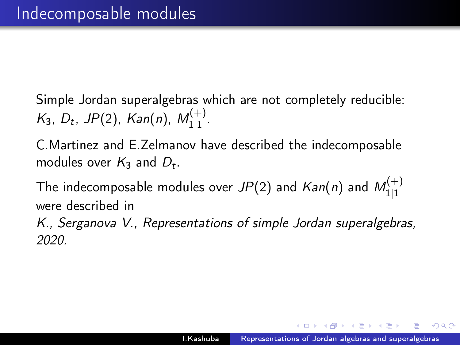Simple Jordan superalgebras which are not completely reducible:  $K_3$ ,  $D_t$ , JP(2), Kan(n),  $M_{11}^{(+)}$ '\'⊤'<br>1|1 ·

C.Martinez and E.Zelmanov have described the indecomposable modules over  $K_3$  and  $D_t$ .

The indecomposable modules over  $JP(2)$  and  ${\it Kan}(n)$  and  ${\it M}_{111}^{(+)}$ 1|1 were described in

K., Serganova V., Representations of simple Jordan superalgebras, 2020.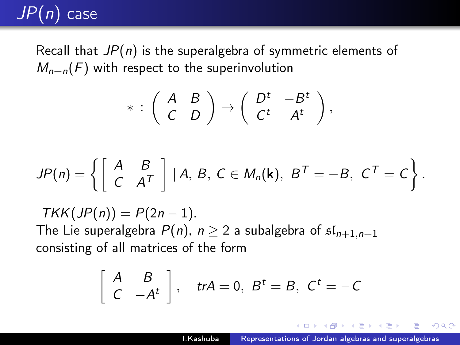# $JP(n)$  case

Recall that  $JP(n)$  is the superalgebra of symmetric elements of  $M_{n+n}(F)$  with respect to the superinvolution

$$
* : \left( \begin{array}{cc} A & B \\ C & D \end{array} \right) \rightarrow \left( \begin{array}{cc} D^t & -B^t \\ C^t & A^t \end{array} \right),
$$

$$
JP(n)=\left\{\left[\begin{array}{cc}A & B \\ C & A^{T}\end{array}\right] | A, B, C \in M_{n}(\mathbf{k}), B^{T}=-B, C^{T}=C\right\}.
$$

 $TKK(JP(n)) = P(2n - 1).$ The Lie superalgebra  $P(n)$ ,  $n \geq 2$  a subalgebra of  $\mathfrak{sl}_{n+1,n+1}$ consisting of all matrices of the form

$$
\left[\begin{array}{cc} A & B \\ C & -A^t \end{array}\right], \quad trA = 0, B^t = B, C^t = -C
$$

桐 レンコ レンコレー

 $\Omega$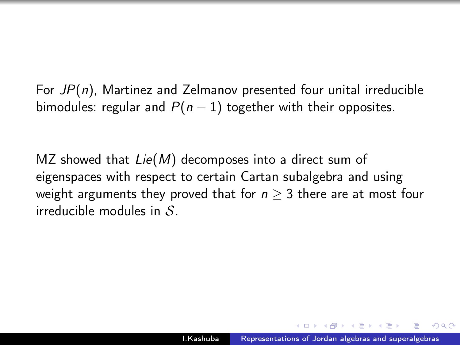For  $JP(n)$ , Martinez and Zelmanov presented four unital irreducible bimodules: regular and  $P(n - 1)$  together with their opposites.

MZ showed that  $Lie(M)$  decomposes into a direct sum of eigenspaces with respect to certain Cartan subalgebra and using weight arguments they proved that for  $n \geq 3$  there are at most four irreducible modules in  $S$ .

 $\Omega$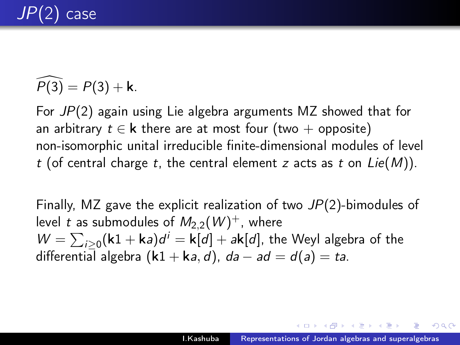# case

$$
\widehat{P(3)} = P(3) + \mathbf{k}.
$$

For JP(2) again using Lie algebra arguments MZ showed that for an arbitrary  $t \in \mathbf{k}$  there are at most four (two + opposite) non-isomorphic unital irreducible finite-dimensional modules of level t (of central charge t, the central element z acts as t on  $Lie(M)$ ).

Finally, MZ gave the explicit realization of two  $JP(2)$ -bimodules of level  $t$  as submodules of  $M_{2,2}(W)^+$ , where  $W = \sum_{i\geq 0} (\mathsf{k1} + \mathsf{k}a)d^i = \mathsf{k}[d] + a\mathsf{k}[d]$ , the Weyl algebra of the differential algebra  $(k1 + ka, d)$ ,  $da - ad = d(a) = ta$ .

Alberta Provident Commission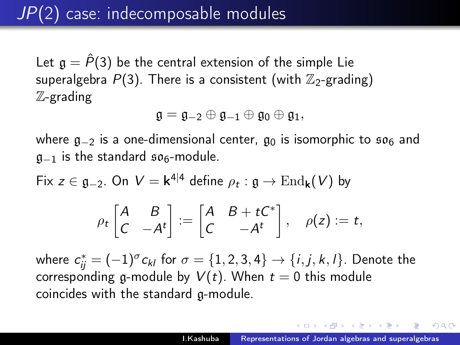# JP(2) case: indecomposable modules

Let  $\mathfrak{a} = \hat{P}(3)$  be the central extension of the simple Lie superalgebra  $P(3)$ . There is a consistent (with  $\mathbb{Z}_2$ -grading) Z-grading

$$
\mathfrak{g}=\mathfrak{g}_{-2}\oplus\mathfrak{g}_{-1}\oplus\mathfrak{g}_0\oplus\mathfrak{g}_1,
$$

where  $g_{-2}$  is a one-dimensional center,  $g_0$  is isomorphic to  $\mathfrak{so}_6$  and  $g_{-1}$  is the standard  $\mathfrak{so}_6$ -module.

Fix  $z \in \mathfrak{g}_{-2}$ . On  $V = \mathsf{k}^{4|4}$  define  $\rho_t : \mathfrak{g} \to \mathrm{End}_{\mathsf{k}}(V)$  by

$$
\rho_t \begin{bmatrix} A & B \\ C & -A^t \end{bmatrix} := \begin{bmatrix} A & B + tC^* \\ C & -A^t \end{bmatrix}, \quad \rho(z) := t,
$$

where  $c_{ij}^*=(-1)^\sigma c_{kl}$  for  $\sigma=\{1,2,3,4\}\rightarrow\{i,j,k,l\}.$  Denote the corresponding g-module by  $V(t)$ . When  $t = 0$  this module coincides with the standard g-module.

メラト メミトメミト

 $QQ$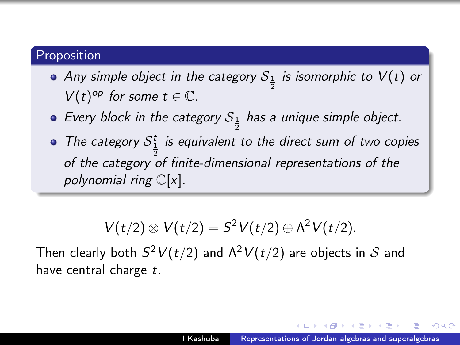### **Proposition**

- Any simple object in the category  $\mathcal{S}_{\frac{1}{2}}$  is isomorphic to  $\mathcal{V}(t)$  or  $V(t)^{op}$  for some  $t \in \mathbb{C}$ .
- Every block in the category  $\mathcal{S}_{\frac{1}{2}}$  has a unique simple object.
- The category  $S_1^t$  is equivalent to the direct sum of two copies of the category of finite-dimensional representations of the polynomial ring  $\mathbb{C}[x]$ .

$$
V(t/2) \otimes V(t/2) = S^2 V(t/2) \oplus \Lambda^2 V(t/2).
$$

Then clearly both  $S^2V(t/2)$  and  $\Lambda^2V(t/2)$  are objects in  ${\cal S}$  and have central charge t.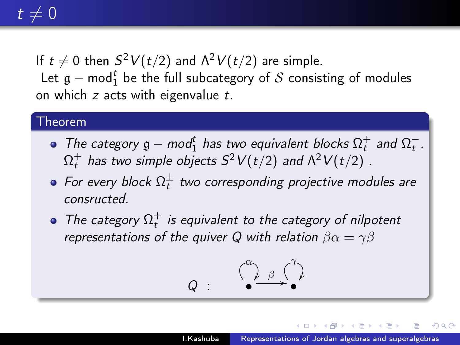# $t \neq 0$

If  $t\neq 0$  then  $S^2V(t/2)$  and  $\Lambda^2V(t/2)$  are simple. Let  $\mathfrak{g}-\mathsf{mod}_1^t$  be the full subcategory of  $\mathcal S$  consisting of modules on which  $z$  acts with eigenvalue  $t$ .

#### Theorem

- The category  $\mathfrak{g}-\textit{mod}_1^t$  has two equivalent blocks  $\Omega_t^+$  and  $\Omega_t^-$ .  $\Omega_t^+$  has two simple objects  $S^2V(t/2)$  and  $\Lambda^2V(t/2)$  .
- For every block  $\Omega_{t}^{\pm}$  two corresponding projective modules are consructed.
- The category  $\Omega_t^+$  is equivalent to the category of nilpotent representations of the quiver Q with relation  $\beta \alpha = \gamma \beta$

$$
Q\,:\, \overset{\left(\begin{smallmatrix} \alpha \\ \beta \end{smallmatrix}\right)}{\bullet} \overset{\left(\begin{smallmatrix} \gamma \\ \beta \end{smallmatrix}\right)}{\bullet}
$$

**ALLEY LE** 

 $\Omega$